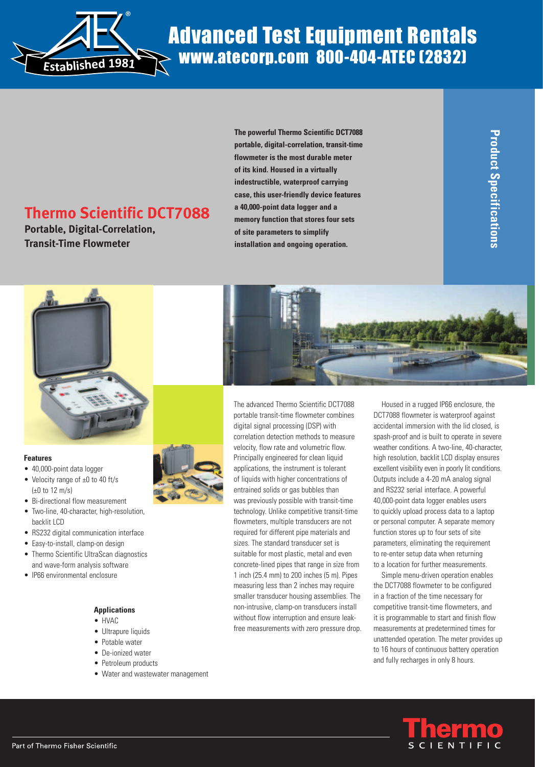

# Advanced Test Equipment Rentals www.atecorp.com 800-404-ATEC (2832)

## **Thermo Scientific DCT7088**

**Portable, Digital-Correlation, Transit-Time Flowmeter**

**The powerful Thermo Scientific DCT7088 portable, digital-correlation, transit-time flowmeter is the most durable meter of its kind. Housed in a virtually indestructible, waterproof carrying case, this user-friendly device features a 40,000-point data logger and a memory function that stores four sets of site parameters to simplify installation and ongoing operation.**



#### **Features**

- 40,000-point data logger
- Velocity range of ±0 to 40 ft/s (±0 to 12 m/s)
- Bi-directional flow measurement
- Two-line, 40-character, high-resolution, backlit LCD
- RS232 digital communication interface
- Easy-to-install, clamp-on design
- Thermo Scientific UltraScan diagnostics and wave-form analysis software
- IP66 environmental enclosure

### **Applications**

- HVAC
- Ultrapure liquids
- Potable water
- De-ionized water
- Petroleum products
- Water and wastewater management



The advanced Thermo Scientific DCT7088 portable transit-time flowmeter combines digital signal processing (DSP) with correlation detection methods to measure velocity, flow rate and volumetric flow. Principally engineered for clean liquid applications, the instrument is tolerant of liquids with higher concentrations of entrained solids or gas bubbles than was previously possible with transit-time technology. Unlike competitive transit-time flowmeters, multiple transducers are not required for different pipe materials and sizes. The standard transducer set is suitable for most plastic, metal and even concrete-lined pipes that range in size from 1 inch (25.4 mm) to 200 inches (5 m). Pipes measuring less than 2 inches may require smaller transducer housing assemblies. The non-intrusive, clamp-on transducers install without flow interruption and ensure leakfree measurements with zero pressure drop.

Housed in a rugged IP66 enclosure, the DCT7088 flowmeter is waterproof against accidental immersion with the lid closed, is spash-proof and is built to operate in severe weather conditions. A two-line, 40-character, high resolution, backlit LCD display ensures excellent visibility even in poorly lit conditions. Outputs include a 4-20 mA analog signal and RS232 serial interface. A powerful 40,000-point data logger enables users to quickly upload process data to a laptop or personal computer. A separate memory function stores up to four sets of site parameters, eliminating the requirement to re-enter setup data when returning to a location for further measurements.

Simple menu-driven operation enables the DCT7088 flowmeter to be configured in a fraction of the time necessary for competitive transit-time flowmeters, and it is programmable to start and finish flow measurements at predetermined times for unattended operation. The meter provides up to 16 hours of continuous battery operation and fully recharges in only 8 hours.